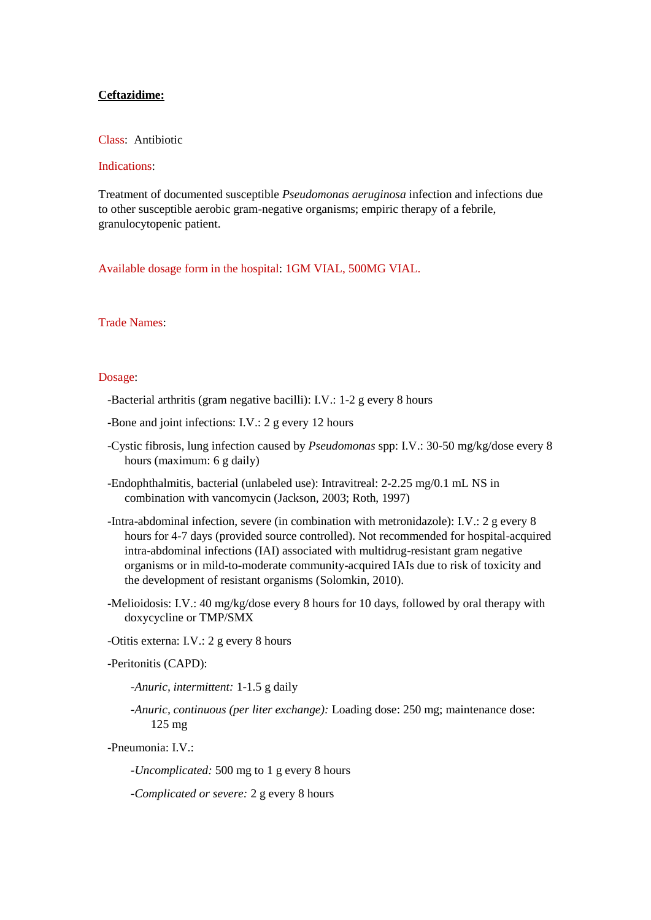# **Ceftazidime:**

## Class: Antibiotic

# Indications:

Treatment of documented susceptible *Pseudomonas aeruginosa* infection and infections due to other susceptible aerobic gram-negative organisms; empiric therapy of a febrile, granulocytopenic patient.

Available dosage form in the hospital: 1GM VIAL, 500MG VIAL.

# Trade Names:

#### Dosage:

-Bacterial arthritis (gram negative bacilli): I.V.: 1-2 g every 8 hours

-Bone and joint infections: I.V.: 2 g every 12 hours

- -Cystic fibrosis, lung infection caused by *Pseudomonas* spp: I.V.: 30-50 mg/kg/dose every 8 hours (maximum: 6 g daily)
- -Endophthalmitis, bacterial (unlabeled use): Intravitreal: 2-2.25 mg/0.1 mL NS in combination with vancomycin (Jackson, 2003; Roth, 1997)
- -Intra-abdominal infection, severe (in combination with metronidazole): I.V.: 2 g every 8 hours for 4-7 days (provided source controlled). Not recommended for hospital-acquired intra-abdominal infections (IAI) associated with multidrug-resistant gram negative organisms or in mild-to-moderate community-acquired IAIs due to risk of toxicity and the development of resistant organisms (Solomkin, 2010).
- -Melioidosis: I.V.: 40 mg/kg/dose every 8 hours for 10 days, followed by oral therapy with doxycycline or TMP/SMX

-Otitis externa: I.V.: 2 g every 8 hours

-Peritonitis (CAPD):

 *-Anuric, intermittent:* 1-1.5 g daily

 *-Anuric, continuous (per liter exchange):* Loading dose: 250 mg; maintenance dose: 125 mg

-Pneumonia: I.V.:

 *-Uncomplicated:* 500 mg to 1 g every 8 hours

 *-Complicated or severe:* 2 g every 8 hours